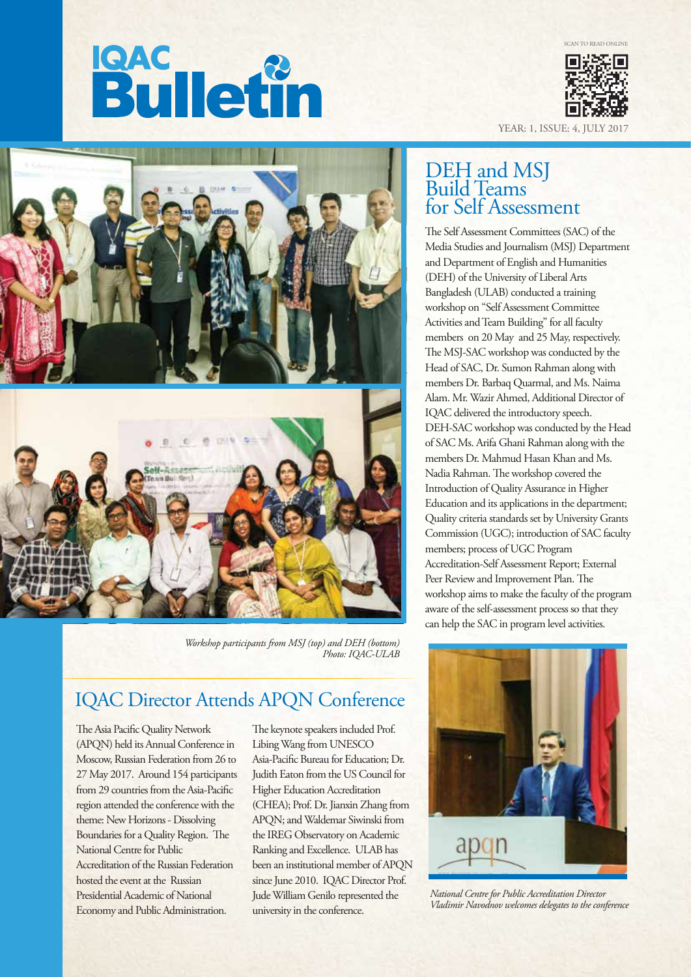SCAN TO READ ONLINE

# **Bulletin**



YEAR: 1, ISSUE: 4, JULY



*Workshop participants from MSJ (top) and DEH (bottom) Photo: IQAC-ULAB*

### IQAC Director Attends APQN Conference

The Asia Pacific Quality Network (APQN) held its Annual Conference in Moscow, Russian Federation from 26 to 27 May 2017. Around 154 participants from 29 countries from the Asia-Pacific region attended the conference with the theme: New Horizons - Dissolving Boundaries for a Quality Region. The National Centre for Public Accreditation of the Russian Federation hosted the event at the Russian Presidential Academic of National Economy and Public Administration.

The keynote speakers included Prof. Libing Wang from UNESCO Asia-Pacific Bureau for Education: Dr. Judith Eaton from the US Council for Higher Education Accreditation (CHEA); Prof. Dr. Jianxin Zhang from APQN; and Waldemar Siwinski from the IREG Observatory on Academic Ranking and Excellence. ULAB has been an institutional member of APQN since June 2010. IQAC Director Prof. Jude William Genilo represented the university in the conference.

### DEH and MSJ Build Teams for Self Assessment

The Self Assessment Committees (SAC) of the Media Studies and Journalism (MSJ) Department and Department of English and Humanities (DEH) of the University of Liberal Arts Bangladesh (ULAB) conducted a training workshop on "Self Assessment Committee Activities and Team Building" for all faculty members on 20 May and 25 May, respectively. The MSJ-SAC workshop was conducted by the Head of SAC, Dr. Sumon Rahman along with members Dr. Barbaq Quarmal, and Ms. Naima Alam. Mr. Wazir Ahmed, Additional Director of IQAC delivered the introductory speech. DEH-SAC workshop was conducted by the Head of SAC Ms. Arifa Ghani Rahman along with the members Dr. Mahmud Hasan Khan and Ms. Nadia Rahman. The workshop covered the Introduction of Quality Assurance in Higher Education and its applications in the department; Quality criteria standards set by University Grants Commission (UGC); introduction of SAC faculty members; process of UGC Program Accreditation-Self Assessment Report; External Peer Review and Improvement Plan. The workshop aims to make the faculty of the program aware of the self-assessment process so that they can help the SAC in program level activities.



*National Centre for Public Accreditation Director Vladimir Navodnov welcomes delegates to the conference*